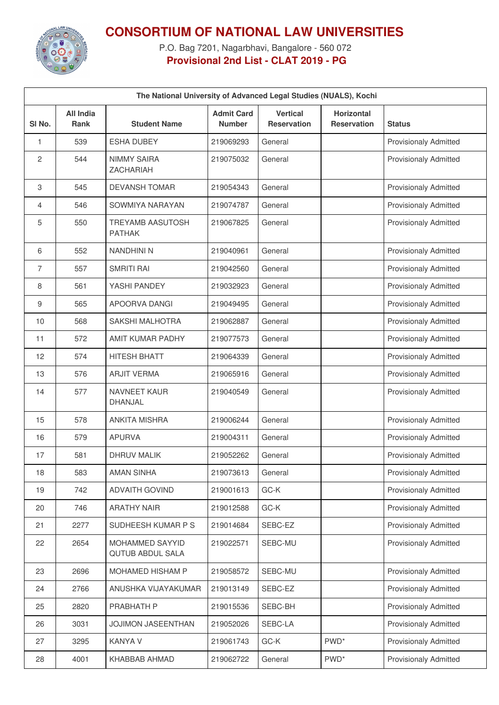

## **CONSORTIUM OF NATIONAL LAW UNIVERSITIES**

P.O. Bag 7201, Nagarbhavi, Bangalore - 560 072 **Provisional 2nd List - CLAT 2019 - PG**

| The National University of Advanced Legal Studies (NUALS), Kochi |                                 |                                            |                                    |                                       |                                         |                              |  |
|------------------------------------------------------------------|---------------------------------|--------------------------------------------|------------------------------------|---------------------------------------|-----------------------------------------|------------------------------|--|
| SI No.                                                           | <b>All India</b><br><b>Rank</b> | <b>Student Name</b>                        | <b>Admit Card</b><br><b>Number</b> | <b>Vertical</b><br><b>Reservation</b> | <b>Horizontal</b><br><b>Reservation</b> | <b>Status</b>                |  |
| 1                                                                | 539                             | <b>ESHA DUBEY</b>                          | 219069293                          | General                               |                                         | <b>Provisionaly Admitted</b> |  |
| 2                                                                | 544                             | <b>NIMMY SAIRA</b><br><b>ZACHARIAH</b>     | 219075032                          | General                               |                                         | Provisionaly Admitted        |  |
| 3                                                                | 545                             | <b>DEVANSH TOMAR</b>                       | 219054343                          | General                               |                                         | <b>Provisionaly Admitted</b> |  |
| 4                                                                | 546                             | SOWMIYA NARAYAN                            | 219074787                          | General                               |                                         | <b>Provisionaly Admitted</b> |  |
| 5                                                                | 550                             | <b>TREYAMB AASUTOSH</b><br><b>PATHAK</b>   | 219067825                          | General                               |                                         | <b>Provisionaly Admitted</b> |  |
| 6                                                                | 552                             | <b>NANDHINI N</b>                          | 219040961                          | General                               |                                         | <b>Provisionaly Admitted</b> |  |
| 7                                                                | 557                             | <b>SMRITI RAI</b>                          | 219042560                          | General                               |                                         | <b>Provisionaly Admitted</b> |  |
| 8                                                                | 561                             | YASHI PANDEY                               | 219032923                          | General                               |                                         | <b>Provisionaly Admitted</b> |  |
| 9                                                                | 565                             | APOORVA DANGI                              | 219049495                          | General                               |                                         | <b>Provisionaly Admitted</b> |  |
| 10                                                               | 568                             | <b>SAKSHI MALHOTRA</b>                     | 219062887                          | General                               |                                         | <b>Provisionaly Admitted</b> |  |
| 11                                                               | 572                             | AMIT KUMAR PADHY                           | 219077573                          | General                               |                                         | <b>Provisionaly Admitted</b> |  |
| 12                                                               | 574                             | <b>HITESH BHATT</b>                        | 219064339                          | General                               |                                         | <b>Provisionaly Admitted</b> |  |
| 13                                                               | 576                             | <b>ARJIT VERMA</b>                         | 219065916                          | General                               |                                         | <b>Provisionaly Admitted</b> |  |
| 14                                                               | 577                             | <b>NAVNEET KAUR</b><br><b>DHANJAL</b>      | 219040549                          | General                               |                                         | <b>Provisionaly Admitted</b> |  |
| 15                                                               | 578                             | <b>ANKITA MISHRA</b>                       | 219006244                          | General                               |                                         | <b>Provisionaly Admitted</b> |  |
| 16                                                               | 579                             | <b>APURVA</b>                              | 219004311                          | General                               |                                         | <b>Provisionaly Admitted</b> |  |
| 17                                                               | 581                             | <b>DHRUV MALIK</b>                         | 219052262                          | General                               |                                         | <b>Provisionaly Admitted</b> |  |
| 18                                                               | 583                             | <b>AMAN SINHA</b>                          | 219073613                          | General                               |                                         | <b>Provisionaly Admitted</b> |  |
| 19                                                               | 742                             | <b>ADVAITH GOVIND</b>                      | 219001613                          | GC-K                                  |                                         | Provisionaly Admitted        |  |
| 20                                                               | 746                             | <b>ARATHY NAIR</b>                         | 219012588                          | GC-K                                  |                                         | Provisionaly Admitted        |  |
| 21                                                               | 2277                            | SUDHEESH KUMAR P S                         | 219014684                          | SEBC-EZ                               |                                         | <b>Provisionaly Admitted</b> |  |
| 22                                                               | 2654                            | MOHAMMED SAYYID<br><b>QUTUB ABDUL SALA</b> | 219022571                          | SEBC-MU                               |                                         | <b>Provisionaly Admitted</b> |  |
| 23                                                               | 2696                            | MOHAMED HISHAM P                           | 219058572                          | SEBC-MU                               |                                         | Provisionaly Admitted        |  |
| 24                                                               | 2766                            | ANUSHKA VIJAYAKUMAR                        | 219013149                          | SEBC-EZ                               |                                         | <b>Provisionaly Admitted</b> |  |
| 25                                                               | 2820                            | PRABHATH P                                 | 219015536                          | SEBC-BH                               |                                         | Provisionaly Admitted        |  |
| 26                                                               | 3031                            | JOJIMON JASEENTHAN                         | 219052026                          | SEBC-LA                               |                                         | Provisionaly Admitted        |  |
| 27                                                               | 3295                            | <b>KANYA V</b>                             | 219061743                          | GC-K                                  | PWD <sup>*</sup>                        | Provisionaly Admitted        |  |
| 28                                                               | 4001                            | KHABBAB AHMAD                              | 219062722                          | General                               | PWD <sup>*</sup>                        | Provisionaly Admitted        |  |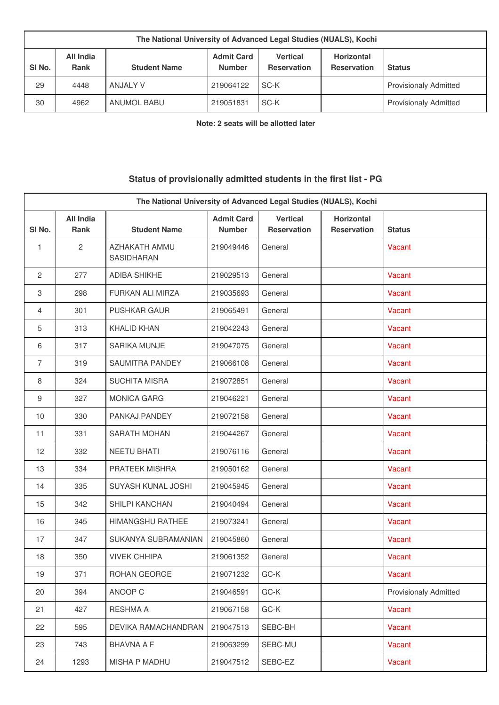| The National University of Advanced Legal Studies (NUALS), Kochi |                          |                     |                                    |                                       |                                         |                              |
|------------------------------------------------------------------|--------------------------|---------------------|------------------------------------|---------------------------------------|-----------------------------------------|------------------------------|
| SI <sub>No.</sub>                                                | All India<br><b>Rank</b> | <b>Student Name</b> | <b>Admit Card</b><br><b>Number</b> | <b>Vertical</b><br><b>Reservation</b> | <b>Horizontal</b><br><b>Reservation</b> | <b>Status</b>                |
| 29                                                               | 4448                     | ANJALY V            | 219064122                          | SC-K                                  |                                         | <b>Provisionaly Admitted</b> |
| 30                                                               | 4962                     | ANUMOL BABU         | 219051831                          | SC-K                                  |                                         | <b>Provisionaly Admitted</b> |

**Note: 2 seats will be allotted later**

## **Status of provisionally admitted students in the first list - PG**

| The National University of Advanced Legal Studies (NUALS), Kochi |                                 |                             |                                    |                                       |                                         |                       |
|------------------------------------------------------------------|---------------------------------|-----------------------------|------------------------------------|---------------------------------------|-----------------------------------------|-----------------------|
| SI <sub>No.</sub>                                                | <b>All India</b><br><b>Rank</b> | <b>Student Name</b>         | <b>Admit Card</b><br><b>Number</b> | <b>Vertical</b><br><b>Reservation</b> | <b>Horizontal</b><br><b>Reservation</b> | <b>Status</b>         |
| 1                                                                | $\overline{c}$                  | AZHAKATH AMMU<br>SASIDHARAN | 219049446                          | General                               |                                         | <b>Vacant</b>         |
| 2                                                                | 277                             | <b>ADIBA SHIKHE</b>         | 219029513                          | General                               |                                         | Vacant                |
| 3                                                                | 298                             | FURKAN ALI MIRZA            | 219035693                          | General                               |                                         | Vacant                |
| 4                                                                | 301                             | <b>PUSHKAR GAUR</b>         | 219065491                          | General                               |                                         | Vacant                |
| 5                                                                | 313                             | <b>KHALID KHAN</b>          | 219042243                          | General                               |                                         | Vacant                |
| 6                                                                | 317                             | <b>SARIKA MUNJE</b>         | 219047075                          | General                               |                                         | Vacant                |
| $\overline{7}$                                                   | 319                             | <b>SAUMITRA PANDEY</b>      | 219066108                          | General                               |                                         | Vacant                |
| 8                                                                | 324                             | <b>SUCHITA MISRA</b>        | 219072851                          | General                               |                                         | Vacant                |
| 9                                                                | 327                             | <b>MONICA GARG</b>          | 219046221                          | General                               |                                         | Vacant                |
| 10                                                               | 330                             | PANKAJ PANDEY               | 219072158                          | General                               |                                         | Vacant                |
| 11                                                               | 331                             | <b>SARATH MOHAN</b>         | 219044267                          | General                               |                                         | Vacant                |
| 12                                                               | 332                             | NEETU BHATI                 | 219076116                          | General                               |                                         | Vacant                |
| 13                                                               | 334                             | PRATEEK MISHRA              | 219050162                          | General                               |                                         | Vacant                |
| 14                                                               | 335                             | SUYASH KUNAL JOSHI          | 219045945                          | General                               |                                         | Vacant                |
| 15                                                               | 342                             | SHILPI KANCHAN              | 219040494                          | General                               |                                         | Vacant                |
| 16                                                               | 345                             | HIMANGSHU RATHEE            | 219073241                          | General                               |                                         | Vacant                |
| 17                                                               | 347                             | SUKANYA SUBRAMANIAN         | 219045860                          | General                               |                                         | Vacant                |
| 18                                                               | 350                             | <b>VIVEK CHHIPA</b>         | 219061352                          | General                               |                                         | Vacant                |
| 19                                                               | 371                             | ROHAN GEORGE                | 219071232                          | $GC-K$                                |                                         | Vacant                |
| 20                                                               | 394                             | ANOOP C                     | 219046591                          | GC-K                                  |                                         | Provisionaly Admitted |
| 21                                                               | 427                             | RESHMA A                    | 219067158                          | GC-K                                  |                                         | Vacant                |
| 22                                                               | 595                             | DEVIKA RAMACHANDRAN         | 219047513                          | SEBC-BH                               |                                         | Vacant                |
| 23                                                               | 743                             | <b>BHAVNA A F</b>           | 219063299                          | SEBC-MU                               |                                         | Vacant                |
| 24                                                               | 1293                            | MISHA P MADHU               | 219047512                          | SEBC-EZ                               |                                         | Vacant                |